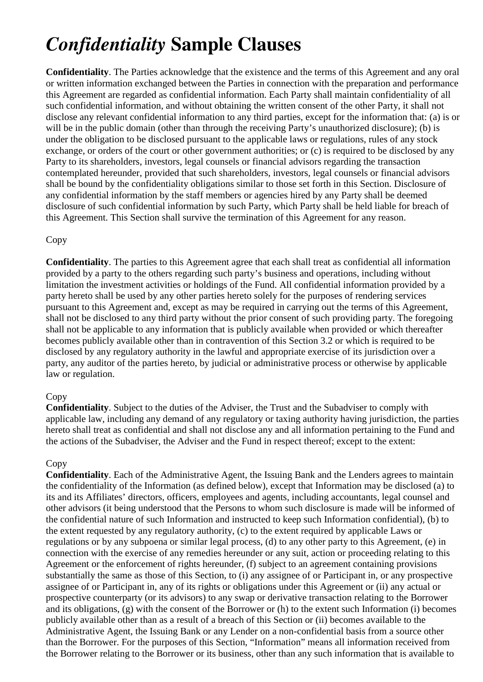# *Confidentiality* **Sample Clauses**

**Confidentiality**. The Parties acknowledge that the existence and the terms of this Agreement and any oral or written information exchanged between the Parties in connection with the preparation and performance this Agreement are regarded as confidential information. Each Party shall maintain confidentiality of all such confidential information, and without obtaining the written consent of the other Party, it shall not disclose any relevant confidential information to any third parties, except for the information that: (a) is or will be in the public domain (other than through the receiving Party's unauthorized disclosure); (b) is under the obligation to be disclosed pursuant to the applicable laws or regulations, rules of any stock exchange, or orders of the court or other government authorities; or (c) is required to be disclosed by any Party to its shareholders, investors, legal counsels or financial advisors regarding the transaction contemplated hereunder, provided that such shareholders, investors, legal counsels or financial advisors shall be bound by the confidentiality obligations similar to those set forth in this Section. Disclosure of any confidential information by the staff members or agencies hired by any Party shall be deemed disclosure of such confidential information by such Party, which Party shall be held liable for breach of this Agreement. This Section shall survive the termination of this Agreement for any reason.

## Copy

**Confidentiality**. The parties to this Agreement agree that each shall treat as confidential all information provided by a party to the others regarding such party's business and operations, including without limitation the investment activities or holdings of the Fund. All confidential information provided by a party hereto shall be used by any other parties hereto solely for the purposes of rendering services pursuant to this Agreement and, except as may be required in carrying out the terms of this Agreement, shall not be disclosed to any third party without the prior consent of such providing party. The foregoing shall not be applicable to any information that is publicly available when provided or which thereafter becomes publicly available other than in contravention of this Section 3.2 or which is required to be disclosed by any regulatory authority in the lawful and appropriate exercise of its jurisdiction over a party, any auditor of the parties hereto, by judicial or administrative process or otherwise by applicable law or regulation.

## **Copy**

**Confidentiality**. Subject to the duties of the Adviser, the Trust and the Subadviser to comply with applicable law, including any demand of any regulatory or taxing authority having jurisdiction, the parties hereto shall treat as confidential and shall not disclose any and all information pertaining to the Fund and the actions of the Subadviser, the Adviser and the Fund in respect thereof; except to the extent:

#### Copy

**Confidentiality**. Each of the Administrative Agent, the Issuing Bank and the Lenders agrees to maintain the confidentiality of the Information (as defined below), except that Information may be disclosed (a) to its and its Affiliates' directors, officers, employees and agents, including accountants, legal counsel and other advisors (it being understood that the Persons to whom such disclosure is made will be informed of the confidential nature of such Information and instructed to keep such Information confidential), (b) to the extent requested by any regulatory authority, (c) to the extent required by applicable Laws or regulations or by any subpoena or similar legal process, (d) to any other party to this Agreement, (e) in connection with the exercise of any remedies hereunder or any suit, action or proceeding relating to this Agreement or the enforcement of rights hereunder, (f) subject to an agreement containing provisions substantially the same as those of this Section, to (i) any assignee of or Participant in, or any prospective assignee of or Participant in, any of its rights or obligations under this Agreement or (ii) any actual or prospective counterparty (or its advisors) to any swap or derivative transaction relating to the Borrower and its obligations, (g) with the consent of the Borrower or (h) to the extent such Information (i) becomes publicly available other than as a result of a breach of this Section or (ii) becomes available to the Administrative Agent, the Issuing Bank or any Lender on a non-confidential basis from a source other than the Borrower. For the purposes of this Section, "Information" means all information received from the Borrower relating to the Borrower or its business, other than any such information that is available to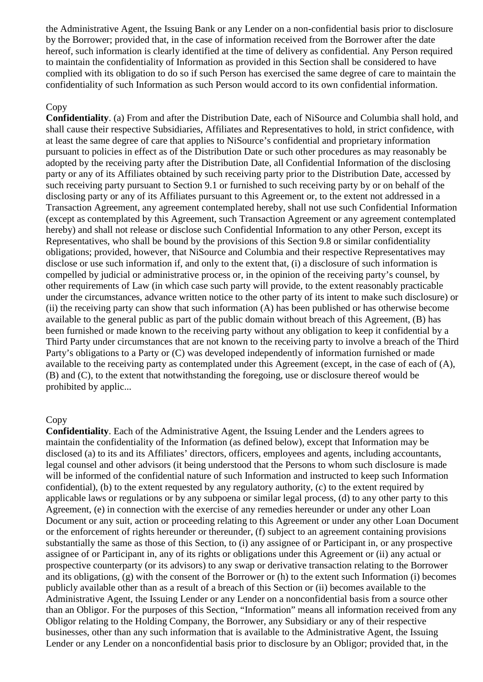the Administrative Agent, the Issuing Bank or any Lender on a non-confidential basis prior to disclosure by the Borrower; provided that, in the case of information received from the Borrower after the date hereof, such information is clearly identified at the time of delivery as confidential. Any Person required to maintain the confidentiality of Information as provided in this Section shall be considered to have complied with its obligation to do so if such Person has exercised the same degree of care to maintain the confidentiality of such Information as such Person would accord to its own confidential information.

#### Copy

**Confidentiality**. (a) From and after the Distribution Date, each of NiSource and Columbia shall hold, and shall cause their respective Subsidiaries, Affiliates and Representatives to hold, in strict confidence, with at least the same degree of care that applies to NiSource's confidential and proprietary information pursuant to policies in effect as of the Distribution Date or such other procedures as may reasonably be adopted by the receiving party after the Distribution Date, all Confidential Information of the disclosing party or any of its Affiliates obtained by such receiving party prior to the Distribution Date, accessed by such receiving party pursuant to Section 9.1 or furnished to such receiving party by or on behalf of the disclosing party or any of its Affiliates pursuant to this Agreement or, to the extent not addressed in a Transaction Agreement, any agreement contemplated hereby, shall not use such Confidential Information (except as contemplated by this Agreement, such Transaction Agreement or any agreement contemplated hereby) and shall not release or disclose such Confidential Information to any other Person, except its Representatives, who shall be bound by the provisions of this Section 9.8 or similar confidentiality obligations; provided, however, that NiSource and Columbia and their respective Representatives may disclose or use such information if, and only to the extent that, (i) a disclosure of such information is compelled by judicial or administrative process or, in the opinion of the receiving party's counsel, by other requirements of Law (in which case such party will provide, to the extent reasonably practicable under the circumstances, advance written notice to the other party of its intent to make such disclosure) or (ii) the receiving party can show that such information (A) has been published or has otherwise become available to the general public as part of the public domain without breach of this Agreement, (B) has been furnished or made known to the receiving party without any obligation to keep it confidential by a Third Party under circumstances that are not known to the receiving party to involve a breach of the Third Party's obligations to a Party or (C) was developed independently of information furnished or made available to the receiving party as contemplated under this Agreement (except, in the case of each of (A), (B) and (C), to the extent that notwithstanding the foregoing, use or disclosure thereof would be prohibited by applic...

#### Copy

**Confidentiality**. Each of the Administrative Agent, the Issuing Lender and the Lenders agrees to maintain the confidentiality of the Information (as defined below), except that Information may be disclosed (a) to its and its Affiliates' directors, officers, employees and agents, including accountants, legal counsel and other advisors (it being understood that the Persons to whom such disclosure is made will be informed of the confidential nature of such Information and instructed to keep such Information confidential), (b) to the extent requested by any regulatory authority, (c) to the extent required by applicable laws or regulations or by any subpoena or similar legal process, (d) to any other party to this Agreement, (e) in connection with the exercise of any remedies hereunder or under any other Loan Document or any suit, action or proceeding relating to this Agreement or under any other Loan Document or the enforcement of rights hereunder or thereunder, (f) subject to an agreement containing provisions substantially the same as those of this Section, to (i) any assignee of or Participant in, or any prospective assignee of or Participant in, any of its rights or obligations under this Agreement or (ii) any actual or prospective counterparty (or its advisors) to any swap or derivative transaction relating to the Borrower and its obligations, (g) with the consent of the Borrower or (h) to the extent such Information (i) becomes publicly available other than as a result of a breach of this Section or (ii) becomes available to the Administrative Agent, the Issuing Lender or any Lender on a nonconfidential basis from a source other than an Obligor. For the purposes of this Section, "Information" means all information received from any Obligor relating to the Holding Company, the Borrower, any Subsidiary or any of their respective businesses, other than any such information that is available to the Administrative Agent, the Issuing Lender or any Lender on a nonconfidential basis prior to disclosure by an Obligor; provided that, in the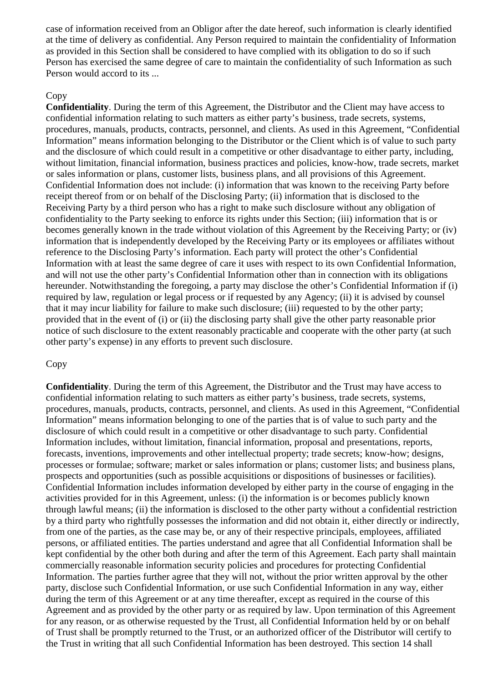case of information received from an Obligor after the date hereof, such information is clearly identified at the time of delivery as confidential. Any Person required to maintain the confidentiality of Information as provided in this Section shall be considered to have complied with its obligation to do so if such Person has exercised the same degree of care to maintain the confidentiality of such Information as such Person would accord to its ...

### Copy

**Confidentiality**. During the term of this Agreement, the Distributor and the Client may have access to confidential information relating to such matters as either party's business, trade secrets, systems, procedures, manuals, products, contracts, personnel, and clients. As used in this Agreement, "Confidential Information" means information belonging to the Distributor or the Client which is of value to such party and the disclosure of which could result in a competitive or other disadvantage to either party, including, without limitation, financial information, business practices and policies, know-how, trade secrets, market or sales information or plans, customer lists, business plans, and all provisions of this Agreement. Confidential Information does not include: (i) information that was known to the receiving Party before receipt thereof from or on behalf of the Disclosing Party; (ii) information that is disclosed to the Receiving Party by a third person who has a right to make such disclosure without any obligation of confidentiality to the Party seeking to enforce its rights under this Section; (iii) information that is or becomes generally known in the trade without violation of this Agreement by the Receiving Party; or (iv) information that is independently developed by the Receiving Party or its employees or affiliates without reference to the Disclosing Party's information. Each party will protect the other's Confidential Information with at least the same degree of care it uses with respect to its own Confidential Information, and will not use the other party's Confidential Information other than in connection with its obligations hereunder. Notwithstanding the foregoing, a party may disclose the other's Confidential Information if (i) required by law, regulation or legal process or if requested by any Agency; (ii) it is advised by counsel that it may incur liability for failure to make such disclosure; (iii) requested to by the other party; provided that in the event of (i) or (ii) the disclosing party shall give the other party reasonable prior notice of such disclosure to the extent reasonably practicable and cooperate with the other party (at such other party's expense) in any efforts to prevent such disclosure.

#### Copy

**Confidentiality**. During the term of this Agreement, the Distributor and the Trust may have access to confidential information relating to such matters as either party's business, trade secrets, systems, procedures, manuals, products, contracts, personnel, and clients. As used in this Agreement, "Confidential Information" means information belonging to one of the parties that is of value to such party and the disclosure of which could result in a competitive or other disadvantage to such party. Confidential Information includes, without limitation, financial information, proposal and presentations, reports, forecasts, inventions, improvements and other intellectual property; trade secrets; know-how; designs, processes or formulae; software; market or sales information or plans; customer lists; and business plans, prospects and opportunities (such as possible acquisitions or dispositions of businesses or facilities). Confidential Information includes information developed by either party in the course of engaging in the activities provided for in this Agreement, unless: (i) the information is or becomes publicly known through lawful means; (ii) the information is disclosed to the other party without a confidential restriction by a third party who rightfully possesses the information and did not obtain it, either directly or indirectly, from one of the parties, as the case may be, or any of their respective principals, employees, affiliated persons, or affiliated entities. The parties understand and agree that all Confidential Information shall be kept confidential by the other both during and after the term of this Agreement. Each party shall maintain commercially reasonable information security policies and procedures for protecting Confidential Information. The parties further agree that they will not, without the prior written approval by the other party, disclose such Confidential Information, or use such Confidential Information in any way, either during the term of this Agreement or at any time thereafter, except as required in the course of this Agreement and as provided by the other party or as required by law. Upon termination of this Agreement for any reason, or as otherwise requested by the Trust, all Confidential Information held by or on behalf of Trust shall be promptly returned to the Trust, or an authorized officer of the Distributor will certify to the Trust in writing that all such Confidential Information has been destroyed. This section 14 shall